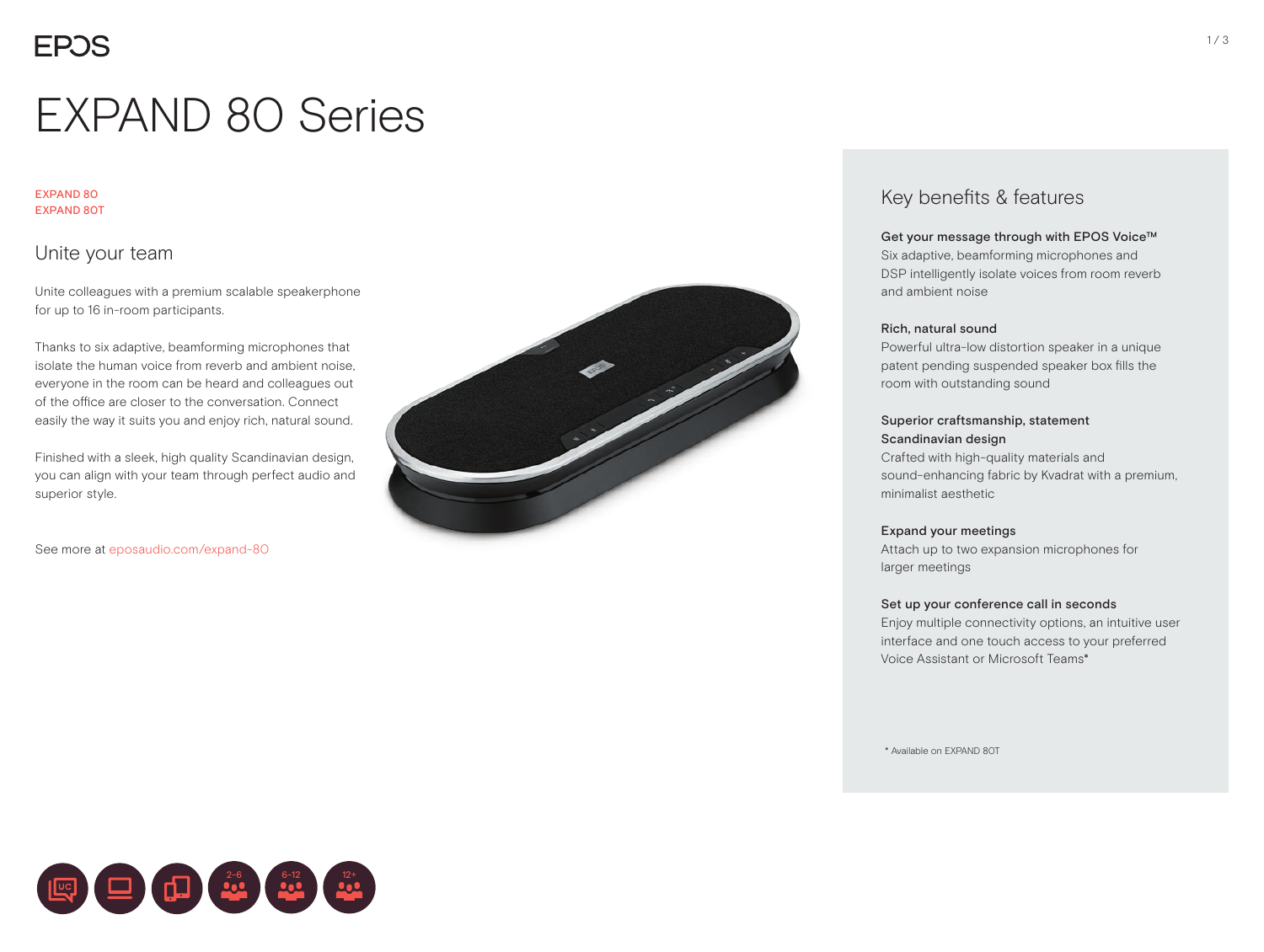# EXPAND 80 Series

#### EXPAND 80 EXPAND 80T

## Unite your team

Unite colleagues with a premium scalable speakerphone for up to 16 in-room participants.

Thanks to six adaptive, beamforming microphones that isolate the human voice from reverb and ambient noise, everyone in the room can be heard and colleagues out of the office are closer to the conversation. Connect easily the way it suits you and enjoy rich, natural sound.

Finished with a sleek, high quality Scandinavian design, you can align with your team through perfect audio and superior style.

22-6 6-12 12+

See more at eposaudio.com/expand-80



## Key benefits & features

#### Get your message through with EPOS Voice™

Six adaptive, beamforming microphones and DSP intelligently isolate voices from room reverb and ambient noise

#### Rich, natural sound

Powerful ultra-low distortion speaker in a unique patent pending suspended speaker box fills the room with outstanding sound

#### Superior craftsmanship, statement Scandinavian design

Crafted with high-quality materials and sound-enhancing fabric by Kvadrat with a premium, minimalist aesthetic

#### Expand your meetings

Attach up to two expansion microphones for larger meetings

#### Set up your conference call in seconds

Enjoy multiple connectivity options, an intuitive user interface and one touch access to your preferred Voice Assistant or Microsoft Teams\*

\* Available on EXPAND 80T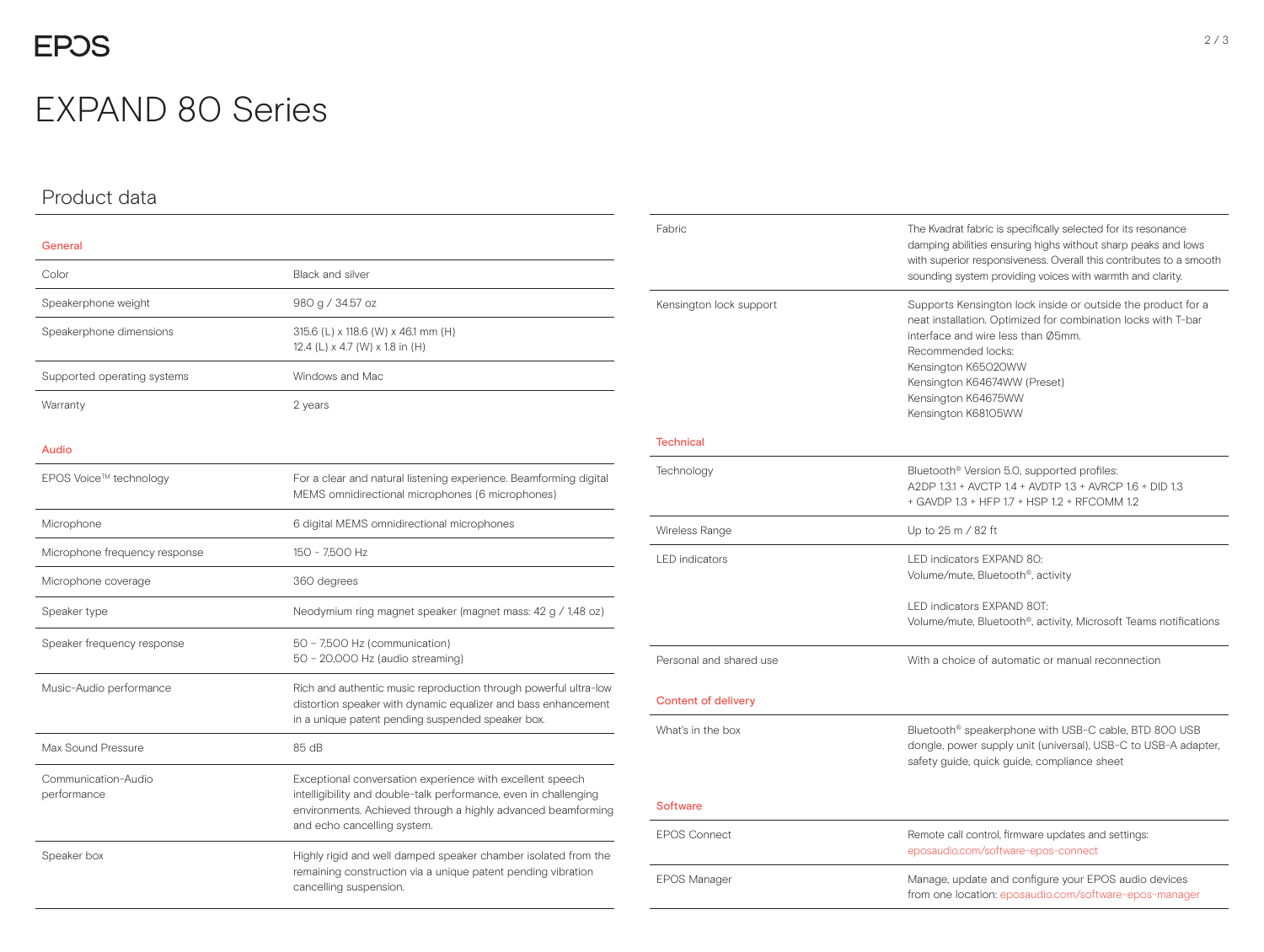## EXPAND 80 Series

### Product data

## General Color Black and silver Speakerphone weight 980 g / 34.57 oz Speakerphone dimensions 315.6 (L) x 118.6 (W) x 46.1 mm (H) 12.4 (L) x 4.7 (W) x 1.8 in (H) Supported operating systems Windows and Mac Warranty 2 years 2 years Audio EPOS Voice™ technology For a clear and natural listening experience. Beamforming digital For a clear and natural listening experience. Beamforming digital MEMS omnidirectional microphones (6 microphones) Microphone **6** digital MEMS omnidirectional microphones Microphone frequency response 150 - 7,500 Hz Microphone coverage 360 degrees Speaker type Neodymium ring magnet speaker (magnet mass: 42 g / 1,48 oz) Speaker frequency response 50 – 7,500 Hz (communication) 50 – 20,000 Hz (audio streaming) Music-Audio performance Rich and authentic music reproduction through powerful ultra-low distortion speaker with dynamic equalizer and bass enhancement in a unique patent pending suspended speaker box. Max Sound Pressure 85 dB Communication-Audio performance Exceptional conversation experience with excellent speech intelligibility and double-talk performance, even in challenging environments. Achieved through a highly advanced beamforming and echo cancelling system.

Speaker box Highly rigid and well damped speaker chamber isolated from the remaining construction via a unique patent pending vibration cancelling suspension.

 $\overline{\phantom{a}}$ 

 $\frac{1}{2}$ 

 $\sim$ 

| Fabric                     | The Kvadrat fabric is specifically selected for its resonance<br>damping abilities ensuring highs without sharp peaks and lows<br>with superior responsiveness. Overall this contributes to a smooth<br>sounding system providing voices with warmth and clarity.                              |  |  |
|----------------------------|------------------------------------------------------------------------------------------------------------------------------------------------------------------------------------------------------------------------------------------------------------------------------------------------|--|--|
| Kensington lock support    | Supports Kensington lock inside or outside the product for a<br>neat installation. Optimized for combination locks with T-bar<br>interface and wire less than Ø5mm.<br>Recommended locks:<br>Kensington K65020WW<br>Kensington K64674WW (Preset)<br>Kensington K64675WW<br>Kensington K68105WW |  |  |
| <b>Technical</b>           |                                                                                                                                                                                                                                                                                                |  |  |
| Technology                 | Bluetooth <sup>®</sup> Version 5.0, supported profiles:<br>A2DP 1.3.1 + AVCTP 1.4 + AVDTP 1.3 + AVRCP 1.6 + DID 1.3<br>+ GAVDP 1.3 + HFP 1.7 + HSP 1.2 + RFCOMM 1.2                                                                                                                            |  |  |
| Wireless Range             | Up to 25 m / 82 ft                                                                                                                                                                                                                                                                             |  |  |
| <b>LED</b> indicators      | LED indicators EXPAND 80:<br>Volume/mute, Bluetooth <sup>®</sup> , activity                                                                                                                                                                                                                    |  |  |
|                            | LED indicators EXPAND 80T:<br>Volume/mute, Bluetooth <sup>®</sup> , activity, Microsoft Teams notifications                                                                                                                                                                                    |  |  |
| Personal and shared use    | With a choice of automatic or manual reconnection                                                                                                                                                                                                                                              |  |  |
| <b>Content of delivery</b> |                                                                                                                                                                                                                                                                                                |  |  |
| What's in the box          | Bluetooth <sup>®</sup> speakerphone with USB-C cable, BTD 800 USB<br>dongle, power supply unit (universal), USB-C to USB-A adapter,<br>safety guide, quick guide, compliance sheet                                                                                                             |  |  |
| <b>Software</b>            |                                                                                                                                                                                                                                                                                                |  |  |
| <b>EPOS Connect</b>        | Remote call control, firmware updates and settings:<br>eposaudio.com/software-epos-connect                                                                                                                                                                                                     |  |  |
| <b>EPOS Manager</b>        | Manage, update and configure your EPOS audio devices<br>from one location: eposaudio.com/software-epos-manager                                                                                                                                                                                 |  |  |